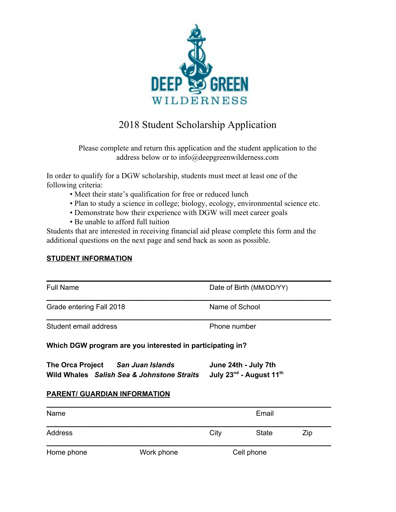

## 2018 Student Scholarship Application

Please complete and return this application and the student application to the address below or to info@deepgreenwilderness.com

In order to qualify for a DGW scholarship, students must meet at least one of the following criteria:

- Meet their state's qualification for free or reduced lunch
- Plan to study a science in college; biology, ecology, environmental science etc.
- Demonstrate how their experience with DGW will meet career goals
- Be unable to afford full tuition

Students that are interested in receiving financial aid please complete this form and the additional questions on the next page and send back as soon as possible.

## **STUDENT INFORMATION**

| <b>Full Name</b>                                                                | Date of Birth (MM/DD/YY)                                                |  |  |  |  |
|---------------------------------------------------------------------------------|-------------------------------------------------------------------------|--|--|--|--|
| Grade entering Fall 2018                                                        | Name of School                                                          |  |  |  |  |
| Student email address                                                           | Phone number                                                            |  |  |  |  |
| Which DGW program are you interested in participating in?                       |                                                                         |  |  |  |  |
| The Orca Project San Juan Islands<br>Wild Whales Salish Sea & Johnstone Straits | June 24th - July 7th<br>July 23 <sup>nd</sup> - August 11 <sup>th</sup> |  |  |  |  |
| <b>PARENT/ GUARDIAN INFORMATION</b>                                             |                                                                         |  |  |  |  |

| Name       | Email      |            |              |     |
|------------|------------|------------|--------------|-----|
| Address    |            | City       | <b>State</b> | Zip |
| Home phone | Work phone | Cell phone |              |     |